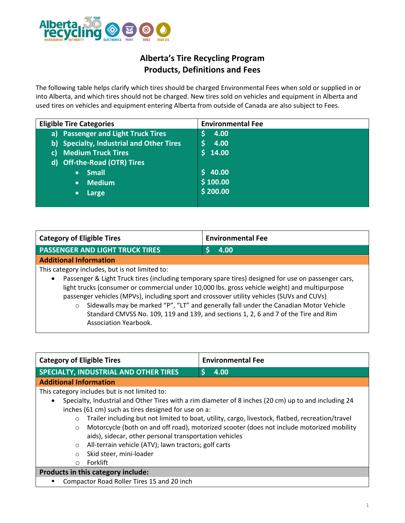

# **Alberta's Tire Recycling Program Products, Definitions and Fees**

The following table helps clarify which tires should be charged Environmental Fees when sold or supplied in or into Alberta, and which tires should not be charged. New tires sold on vehicles and equipment in Alberta and used tires on vehicles and equipment entering Alberta from outside of Canada are also subject to Fees.

| <b>Eligible Tire Categories</b>                    | <b>Environmental Fee</b> |
|----------------------------------------------------|--------------------------|
| <b>Passenger and Light Truck Tires</b><br>a)       | 4.00                     |
| <b>Specialty, Industrial and Other Tires</b><br>b) | 4.00                     |
| <b>Medium Truck Tires</b><br>C)                    | 14.00                    |
| <b>Off-the-Road (OTR) Tires</b><br>d)              |                          |
| <b>Small</b><br>$\bullet$                          | \$40.00                  |
| <b>Medium</b><br>$\bullet$                         | \$100.00                 |
| Large<br>$\bullet$                                 | \$200.00                 |
|                                                    |                          |

| Category of Eligible Tires                                                                                       | <b>Environmental Fee</b> |  |
|------------------------------------------------------------------------------------------------------------------|--------------------------|--|
| <b>PASSENGER AND LIGHT TRUCK TIRES</b>                                                                           | 4.00                     |  |
| <b>Additional Information</b>                                                                                    |                          |  |
| This category includes, but is not limited to:                                                                   |                          |  |
| Passenger & Light Truck tires (including temporary spare tires) designed for use on passenger cars,<br>$\bullet$ |                          |  |
| light trucks (consumer or commercial under 10,000 lbs. gross vehicle weight) and multipurpose                    |                          |  |
| passenger vehicles (MPVs), including sport and crossover utility vehicles (SUVs and CUVs)                        |                          |  |

o Sidewalls may be marked "P", "LT" and generally fall under the Canadian Motor Vehicle Standard CMVSS No. 109, 119 and 139, and sections 1, 2, 6 and 7 of the Tire and Rim Association Yearbook.

| <b>Category of Eligible Tires</b>                                                                                 | <b>Environmental Fee</b>                                                                         |  |
|-------------------------------------------------------------------------------------------------------------------|--------------------------------------------------------------------------------------------------|--|
| <b>SPECIALTY, INDUSTRIAL AND OTHER TIRES</b>                                                                      | Ś<br>4.00                                                                                        |  |
| <b>Additional Information</b>                                                                                     |                                                                                                  |  |
| This category includes but is not limited to:                                                                     |                                                                                                  |  |
| Specialty, Industrial and Other Tires with a rim diameter of 8 inches (20 cm) up to and including 24<br>$\bullet$ |                                                                                                  |  |
| inches (61 cm) such as tires designed for use on a:                                                               |                                                                                                  |  |
| $\circ$                                                                                                           | Trailer including but not limited to boat, utility, cargo, livestock, flatbed, recreation/travel |  |
| $\circ$                                                                                                           | Motorcycle (both on and off road), motorized scooter (does not include motorized mobility        |  |
| aids), sidecar, other personal transportation vehicles                                                            |                                                                                                  |  |
| All-terrain vehicle (ATV); lawn tractors; golf carts<br>$\circ$                                                   |                                                                                                  |  |
| Skid steer, mini-loader<br>$\circ$                                                                                |                                                                                                  |  |
| Forklift<br>$\circ$                                                                                               |                                                                                                  |  |
| Products in this category include:                                                                                |                                                                                                  |  |
| Compactor Road Roller Tires 15 and 20 inch<br>п                                                                   |                                                                                                  |  |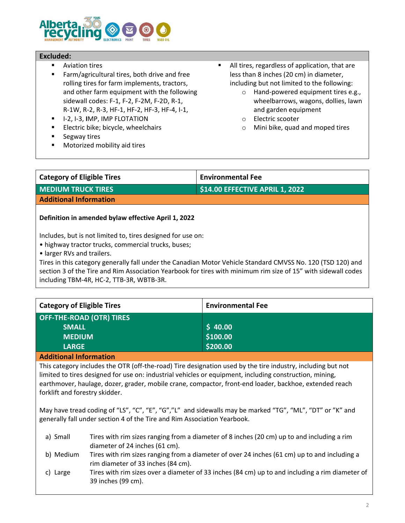

## **Excluded:**

- Aviation tires
- Farm/agricultural tires, both drive and free rolling tires for farm implements, tractors, and other farm equipment with the following sidewall codes: F-1, F-2, F-2M, F-2D, R-1, R-1W, R-2, R-3, HF-1, HF-2, HF-3, HF-4, I-1,
- I-2, I-3, **I**MP, IMP FLOTATION
- Electric bike; bicycle, wheelchairs
- Segway tires
- Motorized mobility aid tires
- All tires, regardless of application, that are less than 8 inches (20 cm) in diameter, including but not limited to the following:
	- o Hand-powered equipment tires e.g., wheelbarrows, wagons, dollies, lawn and garden equipment
	- o Electric scooter
	- o Mini bike, quad and moped tires

| <b>Environmental Fee</b>        | <b>Category of Eligible Tires</b> |
|---------------------------------|-----------------------------------|
| \$14.00 EFFECTIVE APRIL 1, 2022 | <b>MEDIUM TRUCK TIRES</b>         |
|                                 |                                   |
|                                 | <b>Additional Information</b>     |

## **Definition in amended bylaw effective April 1, 2022**

Includes, but is not limited to, tires designed for use on:

• highway tractor trucks, commercial trucks, buses;

• larger RVs and trailers.

Tires in this category generally fall under the Canadian Motor Vehicle Standard CMVSS No. 120 (TSD 120) and section 3 of the Tire and Rim Association Yearbook for tires with minimum rim size of 15" with sidewall codes including TBM-4R, HC-2, TTB-3R, WBTB-3R.

| Category of Eligible Tires      | <b>Environmental Fee</b> |
|---------------------------------|--------------------------|
| <b>OFF-THE-ROAD (OTR) TIRES</b> |                          |
| <b>SMALL</b>                    | \$40.00                  |
| <b>MEDIUM</b>                   | \$100.00                 |
| <b>LARGE</b>                    | \$200.00                 |
| .<br>.                          |                          |

**Additional Information**

This category includes the OTR (off-the-road) Tire designation used by the tire industry, including but not limited to tires designed for use on: industrial vehicles or equipment, including construction, mining, earthmover, haulage, dozer, grader, mobile crane, compactor, front-end loader, backhoe, extended reach forklift and forestry skidder.

May have tread coding of "LS", "C", "E", "G","L" and sidewalls may be marked "TG", "ML", "DT" or "K" and generally fall under section 4 of the Tire and Rim Association Yearbook.

- a) Small Tires with rim sizes ranging from a diameter of 8 inches (20 cm) up to and including a rim diameter of 24 inches (61 cm).
- b) Medium Tires with rim sizes ranging from a diameter of over 24 inches (61 cm) up to and including a rim diameter of 33 inches (84 cm).
- c) Large Tires with rim sizes over a diameter of 33 inches (84 cm) up to and including a rim diameter of 39 inches (99 cm).